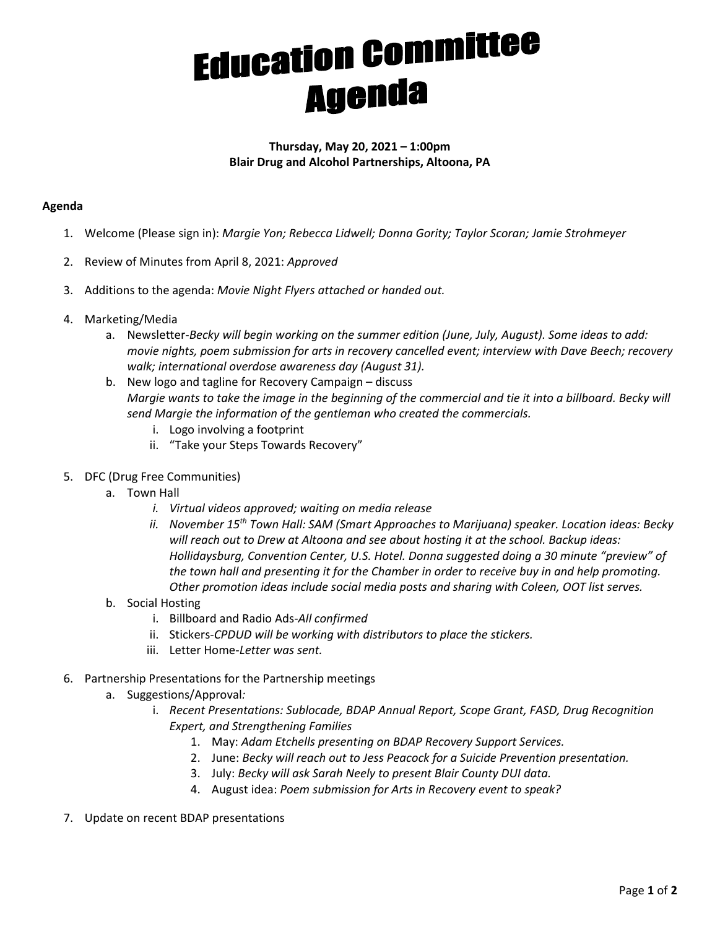## **Education Committee**<br>Agenda

## **Thursday, May 20, 2021 – 1:00pm Blair Drug and Alcohol Partnerships, Altoona, PA**

## **Agenda**

- 1. Welcome (Please sign in): *Margie Yon; Rebecca Lidwell; Donna Gority; Taylor Scoran; Jamie Strohmeyer*
- 2. Review of Minutes from April 8, 2021: *Approved*
- 3. Additions to the agenda: *Movie Night Flyers attached or handed out.*
- 4. Marketing/Media
	- a. Newsletter-*Becky will begin working on the summer edition (June, July, August). Some ideas to add: movie nights, poem submission for arts in recovery cancelled event; interview with Dave Beech; recovery walk; international overdose awareness day (August 31).*
	- b. New logo and tagline for Recovery Campaign discuss *Margie wants to take the image in the beginning of the commercial and tie it into a billboard. Becky will send Margie the information of the gentleman who created the commercials.* 
		- i. Logo involving a footprint
		- ii. "Take your Steps Towards Recovery"
- 5. DFC (Drug Free Communities)
	- a. Town Hall
		- *i. Virtual videos approved; waiting on media release*
		- *ii. November 15th Town Hall: SAM (Smart Approaches to Marijuana) speaker. Location ideas: Becky will reach out to Drew at Altoona and see about hosting it at the school. Backup ideas: Hollidaysburg, Convention Center, U.S. Hotel. Donna suggested doing a 30 minute "preview" of the town hall and presenting it for the Chamber in order to receive buy in and help promoting. Other promotion ideas include social media posts and sharing with Coleen, OOT list serves.*
	- b. Social Hosting
		- i. Billboard and Radio Ads-*All confirmed*
		- ii. Stickers-*CPDUD will be working with distributors to place the stickers.*
		- iii. Letter Home-*Letter was sent.*
- 6. Partnership Presentations for the Partnership meetings
	- a. Suggestions/Approval*:*
		- i. *Recent Presentations: Sublocade, BDAP Annual Report, Scope Grant, FASD, Drug Recognition Expert, and Strengthening Families* 
			- 1. May: *Adam Etchells presenting on BDAP Recovery Support Services.*
			- 2. June: *Becky will reach out to Jess Peacock for a Suicide Prevention presentation.*
			- 3. July: *Becky will ask Sarah Neely to present Blair County DUI data.*
			- 4. August idea: *Poem submission for Arts in Recovery event to speak?*
- 7. Update on recent BDAP presentations